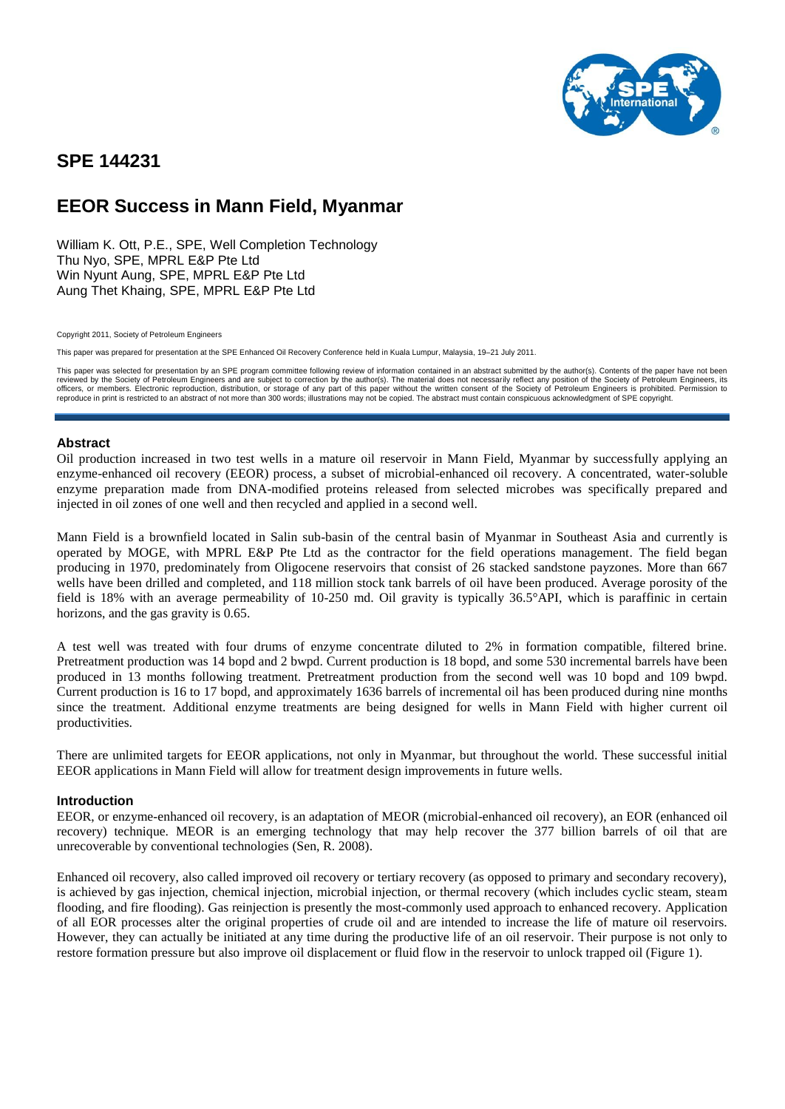

# **SPE 144231**

# **EEOR Success in Mann Field, Myanmar**

William K. Ott, P.E., SPE, Well Completion Technology Thu Nyo, SPE, MPRL E&P Pte Ltd Win Nyunt Aung, SPE, MPRL E&P Pte Ltd Aung Thet Khaing, SPE, MPRL E&P Pte Ltd

Copyright 2011, Society of Petroleum Engineers

This paper was prepared for presentation at the SPE Enhanced Oil Recovery Conference held in Kuala Lumpur, Malaysia, 19–21 July 2011.

This paper was selected for presentation by an SPE program committee following review of information contained in an abstract submitted by the author(s). Contents of the paper have not been reviewed by the Society of Petroleum Engineers and are subject to correction by the author(s). The material does not necessarily reflect any position of the Society of Petroleum Engineers, its<br>officers, or members. Electro reproduce in print is restricted to an abstract of not more than 300 words; illustrations may not be copied. The abstract must contain conspicuous acknowledgment of SPE copyright.

# **Abstract**

Oil production increased in two test wells in a mature oil reservoir in Mann Field, Myanmar by successfully applying an enzyme-enhanced oil recovery (EEOR) process, a subset of microbial-enhanced oil recovery. A concentrated, water-soluble enzyme preparation made from DNA-modified proteins released from selected microbes was specifically prepared and injected in oil zones of one well and then recycled and applied in a second well.

Mann Field is a brownfield located in Salin sub-basin of the central basin of Myanmar in Southeast Asia and currently is operated by MOGE, with MPRL E&P Pte Ltd as the contractor for the field operations management. The field began producing in 1970, predominately from Oligocene reservoirs that consist of 26 stacked sandstone payzones. More than 667 wells have been drilled and completed, and 118 million stock tank barrels of oil have been produced. Average porosity of the field is 18% with an average permeability of 10-250 md. Oil gravity is typically 36.5°API, which is paraffinic in certain horizons, and the gas gravity is 0.65.

A test well was treated with four drums of enzyme concentrate diluted to 2% in formation compatible, filtered brine. Pretreatment production was 14 bopd and 2 bwpd. Current production is 18 bopd, and some 530 incremental barrels have been produced in 13 months following treatment. Pretreatment production from the second well was 10 bopd and 109 bwpd. Current production is 16 to 17 bopd, and approximately 1636 barrels of incremental oil has been produced during nine months since the treatment. Additional enzyme treatments are being designed for wells in Mann Field with higher current oil productivities.

There are unlimited targets for EEOR applications, not only in Myanmar, but throughout the world. These successful initial EEOR applications in Mann Field will allow for treatment design improvements in future wells.

#### **Introduction**

EEOR, or enzyme-enhanced oil recovery, is an adaptation of MEOR (microbial-enhanced oil recovery), an EOR (enhanced oil recovery) technique. MEOR is an emerging technology that may help recover the 377 billion barrels of oil that are unrecoverable by conventional technologies (Sen, R. 2008).

Enhanced oil recovery, also called improved oil recovery or tertiary recovery (as opposed to primary and secondary recovery), is achieved by gas injection, chemical injection, microbial injection, or thermal recovery (which includes cyclic steam, steam flooding, and fire flooding). Gas reinjection is presently the most-commonly used approach to enhanced recovery. Application of all EOR processes alter the original properties of crude oil and are intended to increase the life of mature oil reservoirs. However, they can actually be initiated at any time during the productive life of an oil reservoir. Their purpose is not only to restore formation pressure but also improve oil displacement or fluid flow in the reservoir to unlock trapped oil (Figure 1).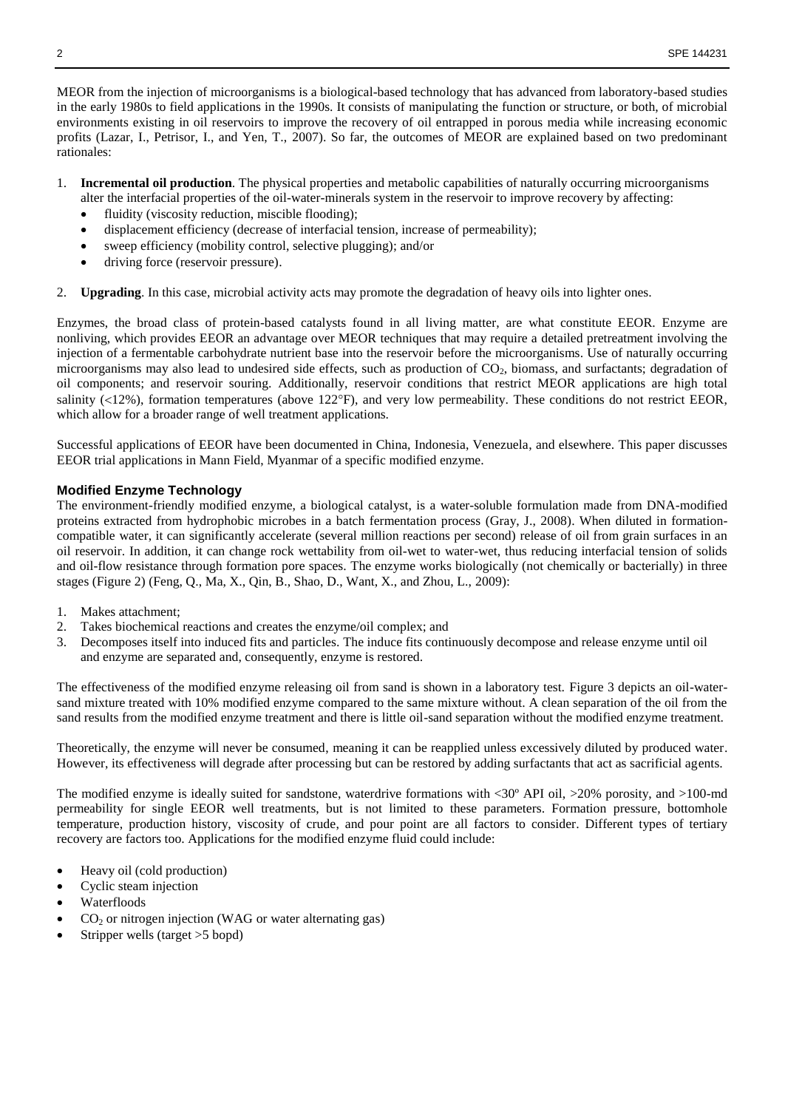MEOR from the injection of microorganisms is a biological-based [technology](http://en.wikipedia.org/wiki/Technology) that has advanced from laboratory-based studies in the early 1980s to field applications in the 1990s. It consists of manipulating the function or structure, or both, of microbial environments existing in oil reservoirs to improve the recovery of [oil](http://en.wikipedia.org/wiki/Oil) entrapped in porous media while increasing economic profits (Lazar, I., Petrisor, I., and Yen, T., 2007). So far, the outcomes of MEOR are explained based on two predominant rationales:

- 1. **Incremental oil production**. The physical properties and metabolic capabilities of naturally occurring microorganisms
	- alter the interfacial properties of the oil-water-minerals system in the reservoir to improve recovery by affecting:
	- [fluidity](http://en.wikipedia.org/wiki/Fluidity) [\(viscosity](http://en.wikipedia.org/wiki/Viscosity) reduction, miscible flooding);
	- displacement efficiency (decrease of [interfacial tension,](http://en.wikipedia.org/wiki/Interfacial_tension) increase of permeability);
	- sweep efficiency (mobility control, selective plugging); and/or
	- driving force (reservoir pressure).
- 2. **Upgrading**. In this case, microbial activity acts may promote the degradation of heavy oils into lighter ones.

Enzymes, the broad class of protein-based catalysts found in all living matter, are what constitute EEOR. Enzyme are nonliving, which provides EEOR an advantage over MEOR techniques that may require a detailed pretreatment involving the injection of a fermentable carbohydrate nutrient base into the reservoir before the microorganisms. Use of naturally occurring microorganisms may also lead to undesired side effects, such as production of  $CO<sub>2</sub>$ , biomass, and surfactants; degradation of oil components; and reservoir souring. Additionally, reservoir conditions that restrict MEOR applications are high total salinity ( $12\%$ ), formation temperatures (above 122°F), and very low permeability. These conditions do not restrict EEOR, which allow for a broader range of well treatment applications.

Successful applications of EEOR have been documented in China, Indonesia, Venezuela, and elsewhere. This paper discusses EEOR trial applications in Mann Field, Myanmar of a specific modified enzyme.

# **Modified Enzyme Technology**

The environment-friendly modified enzyme, a biological catalyst, is a water-soluble formulation made from DNA-modified proteins extracted from hydrophobic microbes in a batch fermentation process (Gray, J., 2008). When diluted in formationcompatible water, it can significantly accelerate (several million reactions per second) release of oil from grain surfaces in an oil reservoir. In addition, it can change rock wettability from oil-wet to water-wet, thus reducing interfacial tension of solids and oil-flow resistance through formation pore spaces. The enzyme works biologically (not chemically or bacterially) in three stages (Figure 2) (Feng, Q., Ma, X., Qin, B., Shao, D., Want, X., and Zhou, L., 2009):

- 1. Makes attachment;
- 2. Takes biochemical reactions and creates the enzyme/oil complex; and
- 3. Decomposes itself into induced fits and particles. The induce fits continuously decompose and release enzyme until oil and enzyme are separated and, consequently, enzyme is restored.

The effectiveness of the modified enzyme releasing oil from sand is shown in a laboratory test. Figure 3 depicts an oil-watersand mixture treated with 10% modified enzyme compared to the same mixture without. A clean separation of the oil from the sand results from the modified enzyme treatment and there is little oil-sand separation without the modified enzyme treatment.

Theoretically, the enzyme will never be consumed, meaning it can be reapplied unless excessively diluted by produced water. However, its effectiveness will degrade after processing but can be restored by adding surfactants that act as sacrificial agents.

The modified enzyme is ideally suited for sandstone, waterdrive formations with <30º API oil, >20% porosity, and >100-md permeability for single EEOR well treatments, but is not limited to these parameters. Formation pressure, bottomhole temperature, production history, viscosity of crude, and pour point are all factors to consider. Different types of tertiary recovery are factors too. Applications for the modified enzyme fluid could include:

- Heavy oil (cold production)
- Cyclic steam injection
- Waterfloods
- $CO<sub>2</sub>$  or nitrogen injection (WAG or water alternating gas)
- Stripper wells (target >5 bopd)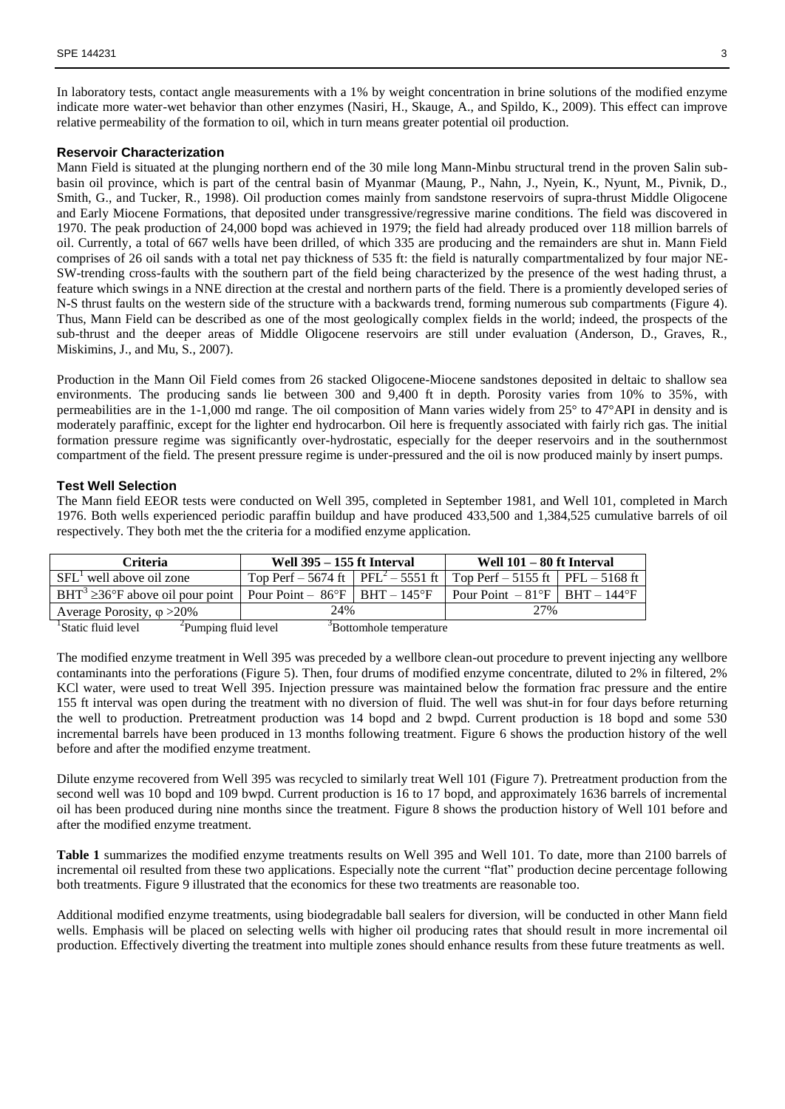In laboratory tests, contact angle measurements with a 1% by weight concentration in brine solutions of the modified enzyme indicate more water-wet behavior than other enzymes (Nasiri, H., Skauge, A., and Spildo, K., 2009). This effect can improve relative permeability of the formation to oil, which in turn means greater potential oil production.

#### **Reservoir Characterization**

Mann Field is situated at the plunging northern end of the 30 mile long Mann-Minbu structural trend in the proven Salin subbasin oil province, which is part of the central basin of Myanmar (Maung, P., Nahn, J., Nyein, K., Nyunt, M., Pivnik, D., Smith, G., and Tucker, R., 1998). Oil production comes mainly from sandstone reservoirs of supra-thrust Middle Oligocene and Early Miocene Formations, that deposited under transgressive/regressive marine conditions. The field was discovered in 1970. The peak production of 24,000 bopd was achieved in 1979; the field had already produced over 118 million barrels of oil. Currently, a total of 667 wells have been drilled, of which 335 are producing and the remainders are shut in. Mann Field comprises of 26 oil sands with a total net pay thickness of 535 ft: the field is naturally compartmentalized by four major NE-SW-trending cross-faults with the southern part of the field being characterized by the presence of the west hading thrust, a feature which swings in a NNE direction at the crestal and northern parts of the field. There is a promiently developed series of N-S thrust faults on the western side of the structure with a backwards trend, forming numerous sub compartments (Figure 4). Thus, Mann Field can be described as one of the most geologically complex fields in the world; indeed, the prospects of the sub-thrust and the deeper areas of Middle Oligocene reservoirs are still under evaluation (Anderson, D., Graves, R., Miskimins, J., and Mu, S., 2007).

Production in the Mann Oil Field comes from 26 stacked Oligocene-Miocene sandstones deposited in deltaic to shallow sea environments. The producing sands lie between 300 and 9,400 ft in depth. Porosity varies from 10% to 35%, with permeabilities are in the 1-1,000 md range. The oil composition of Mann varies widely from 25° to 47°API in density and is moderately paraffinic, except for the lighter end hydrocarbon. Oil here is frequently associated with fairly rich gas. The initial formation pressure regime was significantly over-hydrostatic, especially for the deeper reservoirs and in the southernmost compartment of the field. The present pressure regime is under-pressured and the oil is now produced mainly by insert pumps.

### **Test Well Selection**

The Mann field EEOR tests were conducted on Well 395, completed in September 1981, and Well 101, completed in March 1976. Both wells experienced periodic paraffin buildup and have produced 433,500 and 1,384,525 cumulative barrels of oil respectively. They both met the the criteria for a modified enzyme application.

| <b>Criteria</b>                                                                                            | <b>Well 395 – 155 ft Interval</b>                    |  | Well 101 – 80 ft Interval                       |  |  |
|------------------------------------------------------------------------------------------------------------|------------------------------------------------------|--|-------------------------------------------------|--|--|
| $SFLT$ well above oil zone                                                                                 | Top Perf – 5674 ft   PFL <sup>2</sup> – 5551 ft      |  | Top Perf $-5155$ ft   PFL $-5168$ ft            |  |  |
| BHT <sup>3</sup> $\geq$ 36°F above oil pour point                                                          | Pour Point – $86^{\circ}$ F   BHT – 145 $^{\circ}$ F |  | Pour Point $-81^{\circ}F$   BHT $-144^{\circ}F$ |  |  |
| Average Porosity, $\varphi > 20\%$                                                                         | 24%                                                  |  | 2.7%                                            |  |  |
| <sup>2</sup> Pumping fluid level<br><sup>1</sup> Static fluid level<br><sup>3</sup> Bottomhole temperature |                                                      |  |                                                 |  |  |

The modified enzyme treatment in Well 395 was preceded by a wellbore clean-out procedure to prevent injecting any wellbore contaminants into the perforations (Figure 5). Then, four drums of modified enzyme concentrate, diluted to 2% in filtered, 2% KCl water, were used to treat Well 395. Injection pressure was maintained below the formation frac pressure and the entire 155 ft interval was open during the treatment with no diversion of fluid. The well was shut-in for four days before returning the well to production. Pretreatment production was 14 bopd and 2 bwpd. Current production is 18 bopd and some 530 incremental barrels have been produced in 13 months following treatment. Figure 6 shows the production history of the well before and after the modified enzyme treatment.

Dilute enzyme recovered from Well 395 was recycled to similarly treat Well 101 (Figure 7). Pretreatment production from the second well was 10 bopd and 109 bwpd. Current production is 16 to 17 bopd, and approximately 1636 barrels of incremental oil has been produced during nine months since the treatment. Figure 8 shows the production history of Well 101 before and after the modified enzyme treatment.

**Table 1** summarizes the modified enzyme treatments results on Well 395 and Well 101. To date, more than 2100 barrels of incremental oil resulted from these two applications. Especially note the current "flat" production decine percentage following both treatments. Figure 9 illustrated that the economics for these two treatments are reasonable too.

Additional modified enzyme treatments, using biodegradable ball sealers for diversion, will be conducted in other Mann field wells. Emphasis will be placed on selecting wells with higher oil producing rates that should result in more incremental oil production. Effectively diverting the treatment into multiple zones should enhance results from these future treatments as well.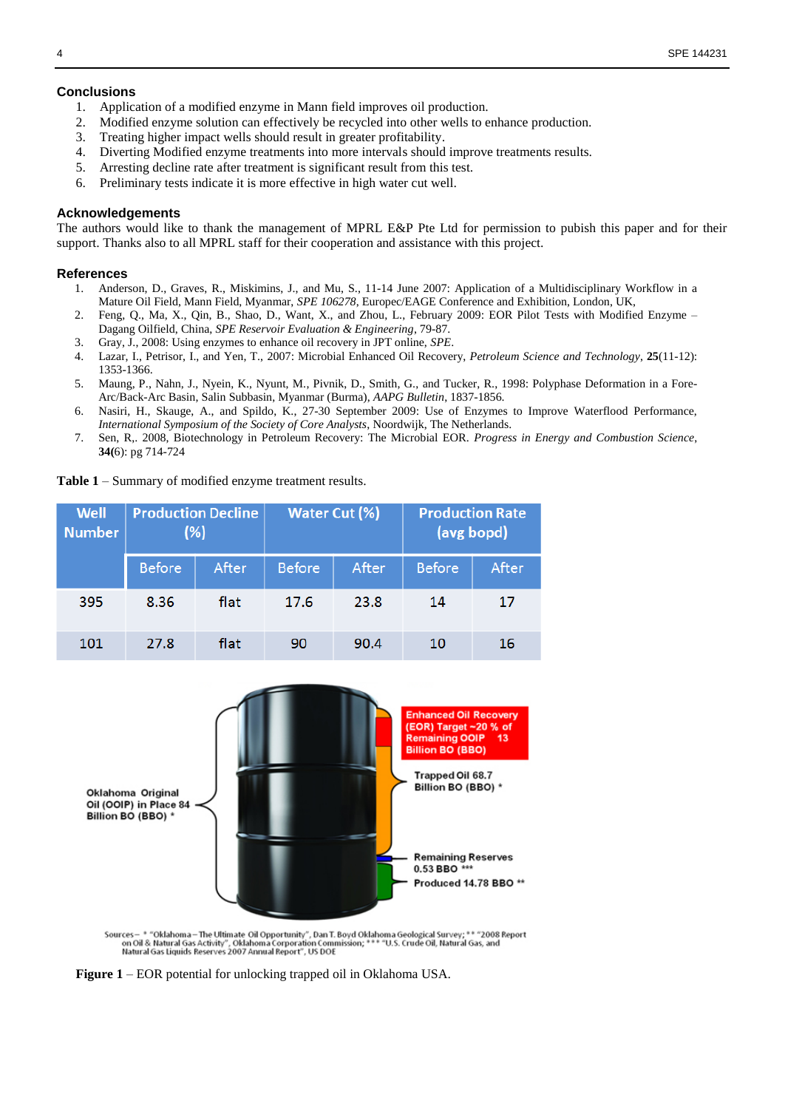# **Conclusions**

- 1. Application of a modified enzyme in Mann field improves oil production.
- 2. Modified enzyme solution can effectively be recycled into other wells to enhance production.
- 3. Treating higher impact wells should result in greater profitability.
- 4. Diverting Modified enzyme treatments into more intervals should improve treatments results.
- 5. Arresting decline rate after treatment is significant result from this test.
- 6. Preliminary tests indicate it is more effective in high water cut well.

# **Acknowledgements**

The authors would like to thank the management of MPRL E&P Pte Ltd for permission to pubish this paper and for their support. Thanks also to all MPRL staff for their cooperation and assistance with this project.

# **References**

- 1. Anderson, D., Graves, R., Miskimins, J., and Mu, S., 11-14 June 2007: Application of a Multidisciplinary Workflow in a Mature Oil Field, Mann Field, Myanmar, *SPE 106278*, Europec/EAGE Conference and Exhibition, London, UK,
- 2. Feng, Q., Ma, X., Qin, B., Shao, D., Want, X., and Zhou, L., February 2009: EOR Pilot Tests with Modified Enzyme Dagang Oilfield, China, *SPE Reservoir Evaluation & Engineering*, 79-87.
- 3. Gray, J., 2008: Using enzymes to enhance oil recovery in JPT online, *SPE*.
- 4. Lazar, I., Petrisor, I., and Yen, T., 2007: Microbial Enhanced Oil Recovery, *Petroleum Science and Technology*, **25**(11-12): 1353-1366.
- 5. Maung, P., Nahn, J., Nyein, K., Nyunt, M., Pivnik, D., Smith, G., and Tucker, R., 1998: Polyphase Deformation in a Fore-Arc/Back-Arc Basin, Salin Subbasin, Myanmar (Burma), *AAPG Bulletin*, 1837-1856.
- 6. Nasiri, H., Skauge, A., and Spildo, K., 27-30 September 2009: Use of Enzymes to Improve Waterflood Performance, *International Symposium of the Society of Core Analysts*, Noordwijk, The Netherlands.
- 7. Sen, R,. 2008, Biotechnology in Petroleum Recovery: The Microbial EOR. *Progress in Energy and Combustion Science*, **34(**6): pg 714-724

**Table 1** – Summary of modified enzyme treatment results.

| <b>Well</b><br><b>Number</b> | <b>Production Decline</b><br>(%) |       | <b>Water Cut (%)</b> |       | <b>Production Rate</b><br>(avg bopd) |       |
|------------------------------|----------------------------------|-------|----------------------|-------|--------------------------------------|-------|
|                              | <b>Before</b>                    | After | <b>Before</b>        | After | <b>Before</b>                        | After |
| 395                          | 8.36                             | flat  | 17.6                 | 23.8  | 14                                   | 17    |
| 101                          | 27.8                             | flat  | 90                   | 90.4  | 10                                   | 16    |



Sources – \* "Oklahoma – The Ultimate Oil Opportunity", Dan T. Boyd Oklahoma Geological Survey; \*\* "2008 Report<br>on Oil & Natural Gas Activity", Oklahoma Corporation Commission; \*\*\* "U.S. Crude Oil, Natural Gas, and<br>Natural

**Figure 1** – EOR potential for unlocking trapped oil in Oklahoma USA.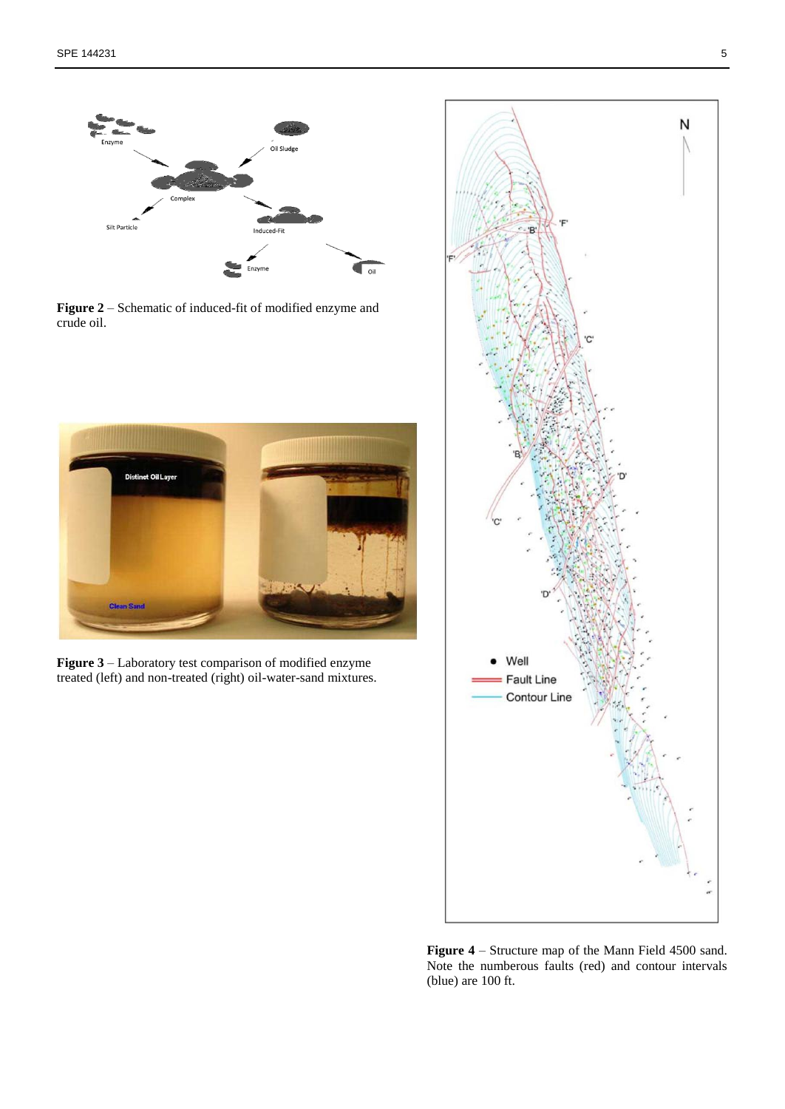

**Figure 2** – Schematic of induced-fit of modified enzyme and crude oil.



**Figure 3** – Laboratory test comparison of modified enzyme treated (left) and non-treated (right) oil-water-sand mixtures.



**Figure 4** – Structure map of the Mann Field 4500 sand. Note the numberous faults (red) and contour intervals (blue) are 100 ft.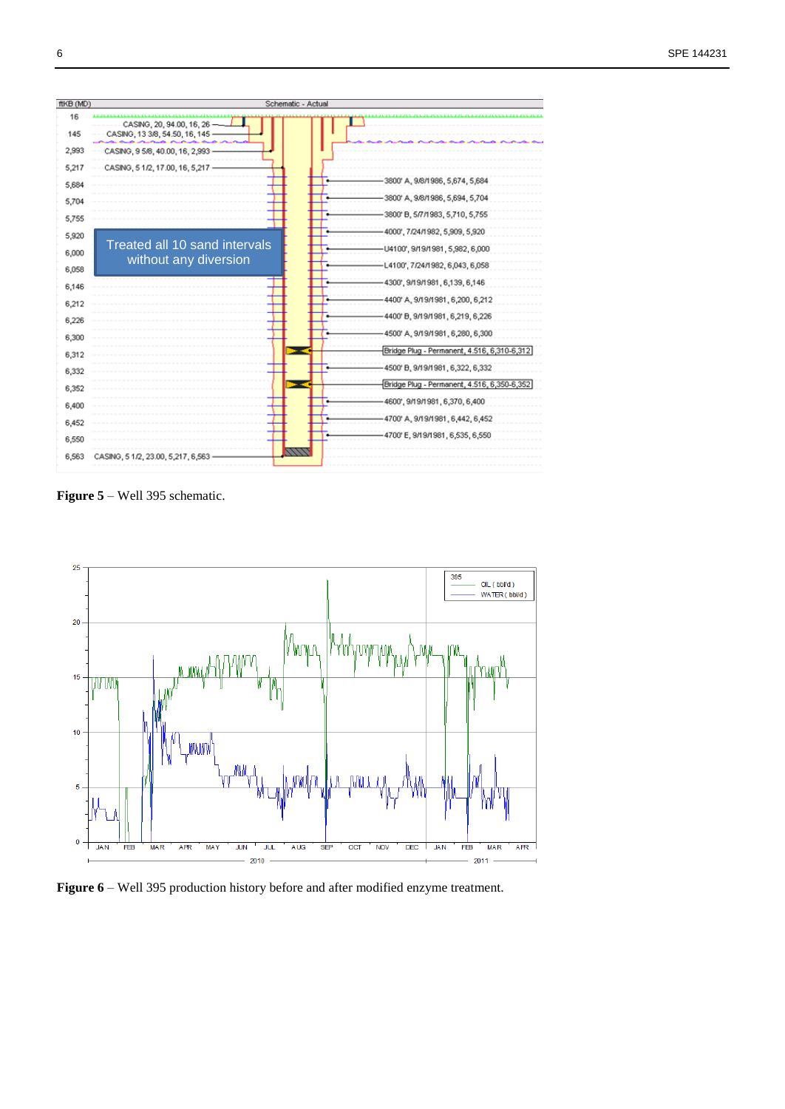

**Figure 5** – Well 395 schematic.



**Figure 6** – Well 395 production history before and after modified enzyme treatment.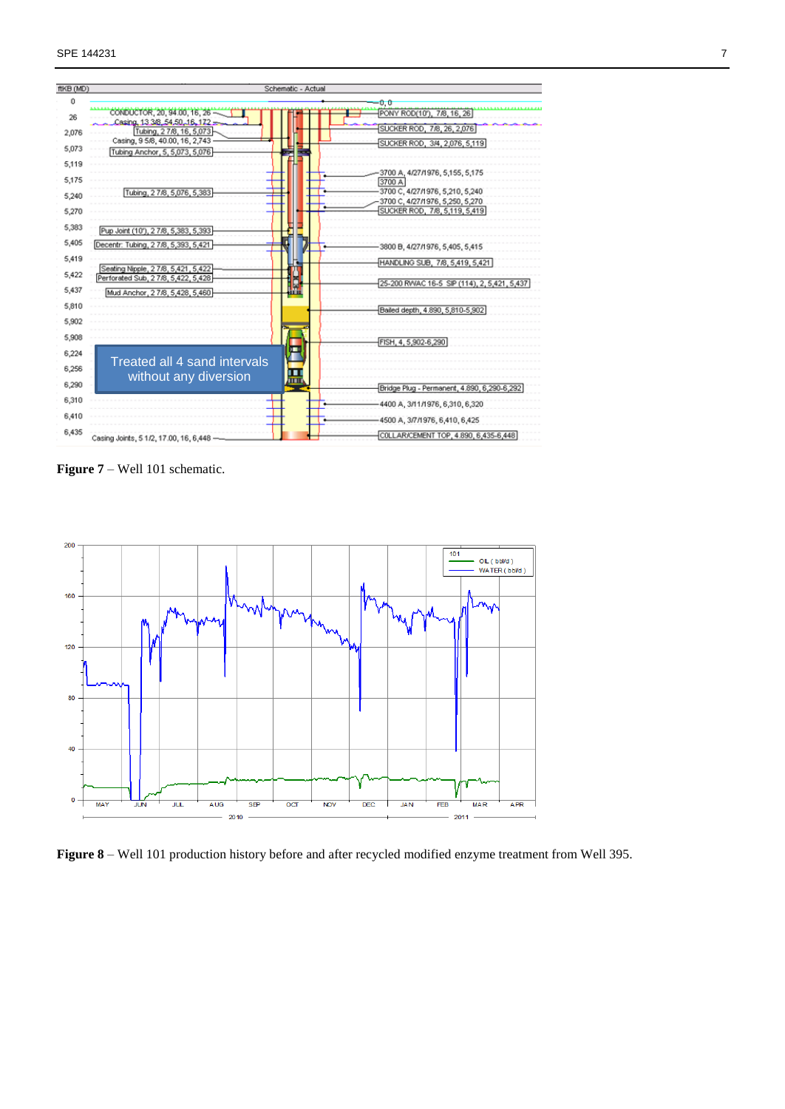| ftKB (MD) |                                                              | Schematic - Actual                                 |
|-----------|--------------------------------------------------------------|----------------------------------------------------|
| 0         |                                                              | 0,0                                                |
| 26        | CONDUCTOR, 20, 94.00, 16, 26 -                               | PONY ROD(10'), 7/8, 16, 26                         |
| 2,076     | Casing, 13 3/8, 54, 50, 16, 172 -<br>Tubing, 27/8, 16, 5,073 | SUCKER ROD, 7/8, 26, 2,076                         |
|           | Casing, 9 5/8, 40.00, 16, 2,743                              | SUCKER ROD, 3/4, 2,076, 5,119                      |
| 5,073     | Tubing Anchor, 5, 5,073, 5,076                               |                                                    |
| 5,119     |                                                              |                                                    |
| 5,175     |                                                              | 3700 A, 4/27/1976, 5,155, 5,175<br>3700 A          |
|           | Tubing, 27/8, 5,076, 5,383                                   | 3700 C, 4/27/1976, 5,210, 5,240                    |
| 5,240     |                                                              | 3700 C, 4/27/1976, 5,250, 5,270.                   |
| 5,270     |                                                              | SUCKER ROD, 7/8, 5,119, 5,419                      |
| 5,383     | Pup Joint (10'), 2 7/8, 5,383, 5,393                         |                                                    |
| 5,405     | Decentr: Tubing, 2 7/8, 5,393, 5,421                         | 3800 B, 4/27/1976, 5,405, 5,415                    |
| 5,419     |                                                              | HANDLING SUB, 7/8, 5,419, 5,421                    |
| 5,422     | Seating Nipple, 27/8, 5, 421, 5, 422                         |                                                    |
|           | Perforated Sub, 2 7/8, 5,422, 5,428                          | E<br>25-200 RWAC 16-5 SIP (114), 2, 5, 421, 5, 437 |
| 5,437     | Mud Anchor, 2 7/8, 5,428, 5,460                              |                                                    |
| 5,810     |                                                              | Bailed depth, 4.890, 5,810-5,902                   |
| 5,902     |                                                              |                                                    |
| 5,908     |                                                              | FISH, 4, 5,902-6,290                               |
| 6,224     |                                                              | я                                                  |
| 6,256     | <b>Treated all 4 sand intervals</b>                          |                                                    |
|           | without any diversion                                        | 昷                                                  |
| 6,290     |                                                              | Bridge Plug - Permanent, 4.890, 6,290-6,292        |
| 6,310     |                                                              | 4400 A, 3/11/1976, 6,310, 6,320                    |
| 6,410     |                                                              | 4500 A, 3/7/1976, 6,410, 6,425                     |
| 6,435     | Casing Joints, 5 1/2, 17.00, 16, 6, 448 -                    | COLLAR/CEMENT TOP, 4.890, 6,435-6,448              |

**Figure 7** – Well 101 schematic.



**Figure 8** – Well 101 production history before and after recycled modified enzyme treatment from Well 395.